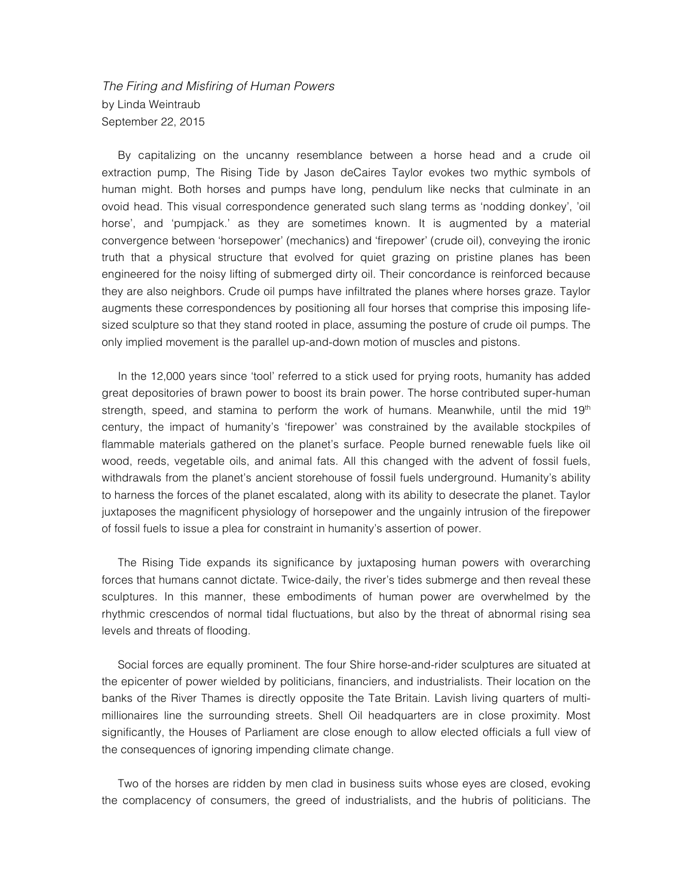## *The Firing and Misfiring of Human Powers* by Linda Weintraub September 22, 2015

By capitalizing on the uncanny resemblance between a horse head and a crude oil extraction pump, The Rising Tide by Jason deCaires Taylor evokes two mythic symbols of human might. Both horses and pumps have long, pendulum like necks that culminate in an ovoid head. This visual correspondence generated such slang terms as 'nodding donkey', 'oil horse', and 'pumpjack.' as they are sometimes known. It is augmented by a material convergence between 'horsepower' (mechanics) and 'firepower' (crude oil), conveying the ironic truth that a physical structure that evolved for quiet grazing on pristine planes has been engineered for the noisy lifting of submerged dirty oil. Their concordance is reinforced because they are also neighbors. Crude oil pumps have infiltrated the planes where horses graze. Taylor augments these correspondences by positioning all four horses that comprise this imposing lifesized sculpture so that they stand rooted in place, assuming the posture of crude oil pumps. The only implied movement is the parallel up-and-down motion of muscles and pistons.

In the 12,000 years since 'tool' referred to a stick used for prying roots, humanity has added great depositories of brawn power to boost its brain power. The horse contributed super-human strength, speed, and stamina to perform the work of humans. Meanwhile, until the mid  $19<sup>th</sup>$ century, the impact of humanity's 'firepower' was constrained by the available stockpiles of flammable materials gathered on the planet's surface. People burned renewable fuels like oil wood, reeds, vegetable oils, and animal fats. All this changed with the advent of fossil fuels, withdrawals from the planet's ancient storehouse of fossil fuels underground. Humanity's ability to harness the forces of the planet escalated, along with its ability to desecrate the planet. Taylor juxtaposes the magnificent physiology of horsepower and the ungainly intrusion of the firepower of fossil fuels to issue a plea for constraint in humanity's assertion of power.

The Rising Tide expands its significance by juxtaposing human powers with overarching forces that humans cannot dictate. Twice-daily, the river's tides submerge and then reveal these sculptures. In this manner, these embodiments of human power are overwhelmed by the rhythmic crescendos of normal tidal fluctuations, but also by the threat of abnormal rising sea levels and threats of flooding.

Social forces are equally prominent. The four Shire horse-and-rider sculptures are situated at the epicenter of power wielded by politicians, financiers, and industrialists. Their location on the banks of the River Thames is directly opposite the Tate Britain. Lavish living quarters of multimillionaires line the surrounding streets. Shell Oil headquarters are in close proximity. Most significantly, the Houses of Parliament are close enough to allow elected officials a full view of the consequences of ignoring impending climate change.

Two of the horses are ridden by men clad in business suits whose eyes are closed, evoking the complacency of consumers, the greed of industrialists, and the hubris of politicians. The